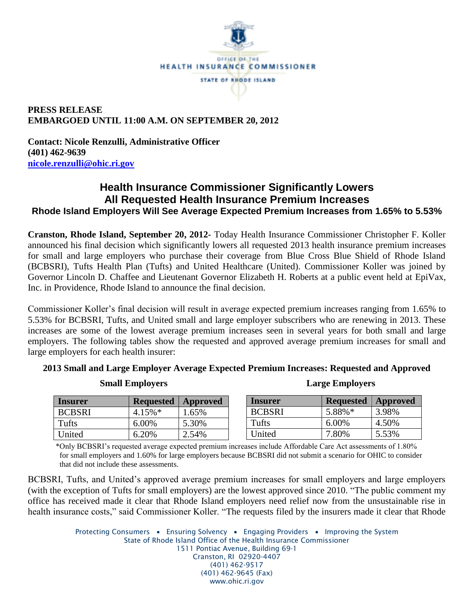

## **PRESS RELEASE EMBARGOED UNTIL 11:00 A.M. ON SEPTEMBER 20, 2012**

**Contact: Nicole Renzulli, Administrative Officer (401) 462-9639 [nicole.renzulli@ohic.ri.gov](mailto:nicole.renzulli@ohic.ri.gov)**

## **Health Insurance Commissioner Significantly Lowers All Requested Health Insurance Premium Increases Rhode Island Employers Will See Average Expected Premium Increases from 1.65% to 5.53%**

**Cranston, Rhode Island, September 20, 2012-** Today Health Insurance Commissioner Christopher F. Koller announced his final decision which significantly lowers all requested 2013 health insurance premium increases for small and large employers who purchase their coverage from Blue Cross Blue Shield of Rhode Island (BCBSRI), Tufts Health Plan (Tufts) and United Healthcare (United). Commissioner Koller was joined by Governor Lincoln D. Chaffee and Lieutenant Governor Elizabeth H. Roberts at a public event held at EpiVax, Inc. in Providence, Rhode Island to announce the final decision.

Commissioner Koller's final decision will result in average expected premium increases ranging from 1.65% to 5.53% for BCBSRI, Tufts, and United small and large employer subscribers who are renewing in 2013. These increases are some of the lowest average premium increases seen in several years for both small and large employers. The following tables show the requested and approved average premium increases for small and large employers for each health insurer:

|  |  | 2013 Small and Large Employer Average Expected Premium Increases: Requested and Approved |  |  |  |
|--|--|------------------------------------------------------------------------------------------|--|--|--|
|  |  |                                                                                          |  |  |  |
|  |  |                                                                                          |  |  |  |
|  |  |                                                                                          |  |  |  |

| <b>Small Employers</b> |  |  |
|------------------------|--|--|
|------------------------|--|--|

| <b>Insurer</b> | <b>Requested   Approved</b> |       |  |
|----------------|-----------------------------|-------|--|
| <b>BCBSRI</b>  | $4.15\%$ <sup>*</sup>       | 1.65% |  |
| Tufts          | 6.00%                       | 5.30% |  |
| United         | 6.20%                       | 2.54% |  |

**Large Employers** 

| Insurer       | <b>Requested</b> | Approved |
|---------------|------------------|----------|
| <b>BCBSRI</b> | 5.88%*           | 3.98%    |
| Tufts         | 6.00%            | 4.50%    |
| United        | 7.80%            | 5.53%    |

\*Only BCBSRI's requested average expected premium increases include Affordable Care Act assessments of 1.80% for small employers and 1.60% for large employers because BCBSRI did not submit a scenario for OHIC to consider that did not include these assessments.

BCBSRI, Tufts, and United's approved average premium increases for small employers and large employers (with the exception of Tufts for small employers) are the lowest approved since 2010. "The public comment my office has received made it clear that Rhode Island employers need relief now from the unsustainable rise in health insurance costs," said Commissioner Koller. "The requests filed by the insurers made it clear that Rhode

> Protecting Consumers • Ensuring Solvency • Engaging Providers • Improving the System State of Rhode Island Office of the Health Insurance Commissioner 1511 Pontiac Avenue, Building 69-1 Cranston, RI 02920-4407 (401) 462-9517 (401) 462-9645 (Fax) www.ohic.ri.gov